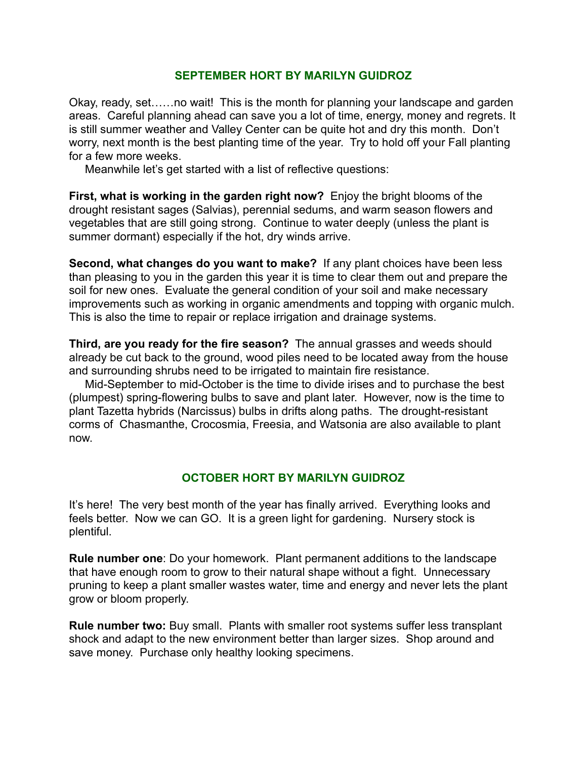#### **SEPTEMBER HORT BY MARILYN GUIDROZ**

Okay, ready, set……no wait! This is the month for planning your landscape and garden areas. Careful planning ahead can save you a lot of time, energy, money and regrets. It is still summer weather and Valley Center can be quite hot and dry this month. Don't worry, next month is the best planting time of the year. Try to hold off your Fall planting for a few more weeks.

Meanwhile let's get started with a list of reflective questions:

**First, what is working in the garden right now?** Enjoy the bright blooms of the drought resistant sages (Salvias), perennial sedums, and warm season flowers and vegetables that are still going strong. Continue to water deeply (unless the plant is summer dormant) especially if the hot, dry winds arrive.

**Second, what changes do you want to make?** If any plant choices have been less than pleasing to you in the garden this year it is time to clear them out and prepare the soil for new ones. Evaluate the general condition of your soil and make necessary improvements such as working in organic amendments and topping with organic mulch. This is also the time to repair or replace irrigation and drainage systems.

**Third, are you ready for the fire season?** The annual grasses and weeds should already be cut back to the ground, wood piles need to be located away from the house and surrounding shrubs need to be irrigated to maintain fire resistance.

 Mid-September to mid-October is the time to divide irises and to purchase the best (plumpest) spring-flowering bulbs to save and plant later. However, now is the time to plant Tazetta hybrids (Narcissus) bulbs in drifts along paths. The drought-resistant corms of Chasmanthe, Crocosmia, Freesia, and Watsonia are also available to plant now.

## **OCTOBER HORT BY MARILYN GUIDROZ**

It's here! The very best month of the year has finally arrived. Everything looks and feels better. Now we can GO. It is a green light for gardening. Nursery stock is plentiful.

**Rule number one**: Do your homework. Plant permanent additions to the landscape that have enough room to grow to their natural shape without a fight. Unnecessary pruning to keep a plant smaller wastes water, time and energy and never lets the plant grow or bloom properly.

**Rule number two:** Buy small. Plants with smaller root systems suffer less transplant shock and adapt to the new environment better than larger sizes. Shop around and save money. Purchase only healthy looking specimens.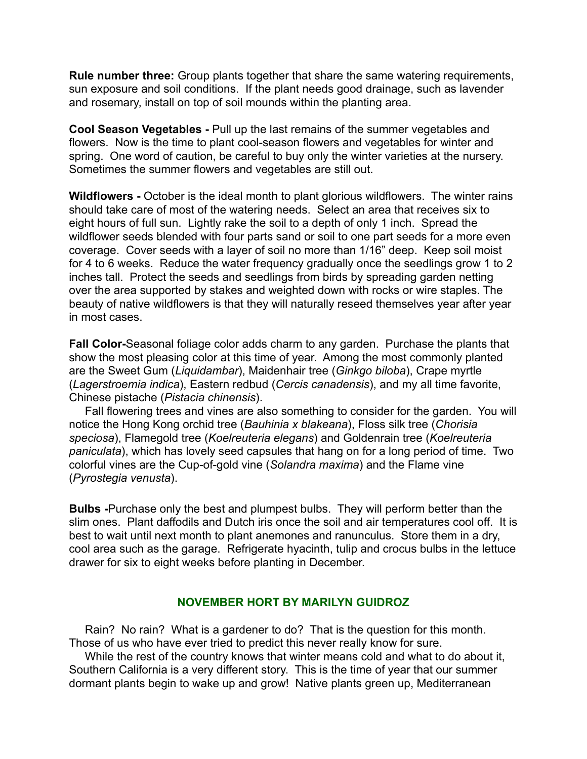**Rule number three:** Group plants together that share the same watering requirements, sun exposure and soil conditions. If the plant needs good drainage, such as lavender and rosemary, install on top of soil mounds within the planting area.

**Cool Season Vegetables -** Pull up the last remains of the summer vegetables and flowers. Now is the time to plant cool-season flowers and vegetables for winter and spring. One word of caution, be careful to buy only the winter varieties at the nursery. Sometimes the summer flowers and vegetables are still out.

**Wildflowers -** October is the ideal month to plant glorious wildflowers. The winter rains should take care of most of the watering needs. Select an area that receives six to eight hours of full sun. Lightly rake the soil to a depth of only 1 inch. Spread the wildflower seeds blended with four parts sand or soil to one part seeds for a more even coverage. Cover seeds with a layer of soil no more than 1/16" deep. Keep soil moist for 4 to 6 weeks. Reduce the water frequency gradually once the seedlings grow 1 to 2 inches tall. Protect the seeds and seedlings from birds by spreading garden netting over the area supported by stakes and weighted down with rocks or wire staples. The beauty of native wildflowers is that they will naturally reseed themselves year after year in most cases.

**Fall Color-**Seasonal foliage color adds charm to any garden. Purchase the plants that show the most pleasing color at this time of year. Among the most commonly planted are the Sweet Gum (*Liquidambar*), Maidenhair tree (*Ginkgo biloba*), Crape myrtle (*Lagerstroemia indica*), Eastern redbud (*Cercis canadensis*), and my all time favorite, Chinese pistache (*Pistacia chinensis*).

 Fall flowering trees and vines are also something to consider for the garden. You will notice the Hong Kong orchid tree (*Bauhinia x blakeana*), Floss silk tree (*Chorisia speciosa*), Flamegold tree (*Koelreuteria elegans*) and Goldenrain tree (*Koelreuteria paniculata*), which has lovely seed capsules that hang on for a long period of time. Two colorful vines are the Cup-of-gold vine (*Solandra maxima*) and the Flame vine (*Pyrostegia venusta*).

**Bulbs -**Purchase only the best and plumpest bulbs. They will perform better than the slim ones. Plant daffodils and Dutch iris once the soil and air temperatures cool off. It is best to wait until next month to plant anemones and ranunculus. Store them in a dry, cool area such as the garage. Refrigerate hyacinth, tulip and crocus bulbs in the lettuce drawer for six to eight weeks before planting in December.

#### **NOVEMBER HORT BY MARILYN GUIDROZ**

 Rain? No rain? What is a gardener to do? That is the question for this month. Those of us who have ever tried to predict this never really know for sure.

 While the rest of the country knows that winter means cold and what to do about it, Southern California is a very different story. This is the time of year that our summer dormant plants begin to wake up and grow! Native plants green up, Mediterranean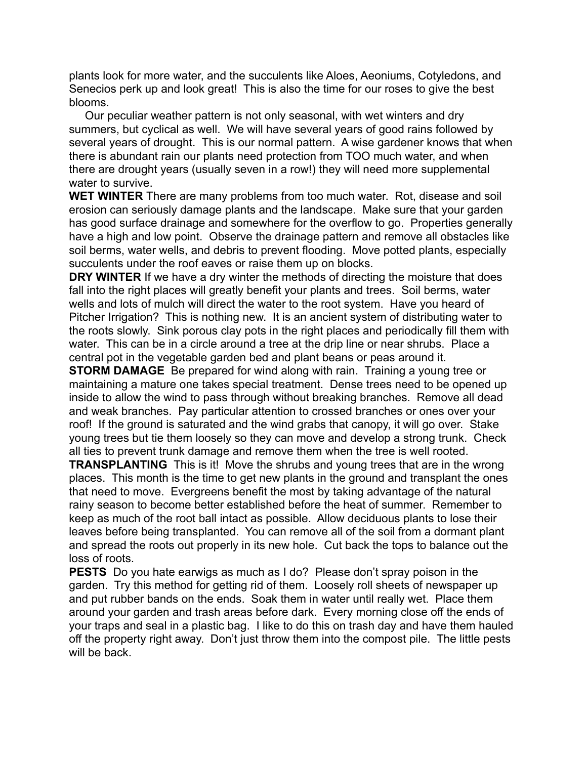plants look for more water, and the succulents like Aloes, Aeoniums, Cotyledons, and Senecios perk up and look great! This is also the time for our roses to give the best blooms.

 Our peculiar weather pattern is not only seasonal, with wet winters and dry summers, but cyclical as well. We will have several years of good rains followed by several years of drought. This is our normal pattern. A wise gardener knows that when there is abundant rain our plants need protection from TOO much water, and when there are drought years (usually seven in a row!) they will need more supplemental water to survive.

**WET WINTER** There are many problems from too much water. Rot, disease and soil erosion can seriously damage plants and the landscape. Make sure that your garden has good surface drainage and somewhere for the overflow to go. Properties generally have a high and low point. Observe the drainage pattern and remove all obstacles like soil berms, water wells, and debris to prevent flooding. Move potted plants, especially succulents under the roof eaves or raise them up on blocks.

**DRY WINTER** If we have a dry winter the methods of directing the moisture that does fall into the right places will greatly benefit your plants and trees. Soil berms, water wells and lots of mulch will direct the water to the root system. Have you heard of Pitcher Irrigation? This is nothing new. It is an ancient system of distributing water to the roots slowly. Sink porous clay pots in the right places and periodically fill them with water. This can be in a circle around a tree at the drip line or near shrubs. Place a central pot in the vegetable garden bed and plant beans or peas around it.

**STORM DAMAGE** Be prepared for wind along with rain. Training a young tree or maintaining a mature one takes special treatment. Dense trees need to be opened up inside to allow the wind to pass through without breaking branches. Remove all dead and weak branches. Pay particular attention to crossed branches or ones over your roof! If the ground is saturated and the wind grabs that canopy, it will go over. Stake young trees but tie them loosely so they can move and develop a strong trunk. Check all ties to prevent trunk damage and remove them when the tree is well rooted.

**TRANSPLANTING** This is it! Move the shrubs and young trees that are in the wrong places. This month is the time to get new plants in the ground and transplant the ones that need to move. Evergreens benefit the most by taking advantage of the natural rainy season to become better established before the heat of summer. Remember to keep as much of the root ball intact as possible. Allow deciduous plants to lose their leaves before being transplanted. You can remove all of the soil from a dormant plant and spread the roots out properly in its new hole. Cut back the tops to balance out the loss of roots.

**PESTS** Do you hate earwigs as much as I do? Please don't spray poison in the garden. Try this method for getting rid of them. Loosely roll sheets of newspaper up and put rubber bands on the ends. Soak them in water until really wet. Place them around your garden and trash areas before dark. Every morning close off the ends of your traps and seal in a plastic bag. I like to do this on trash day and have them hauled off the property right away. Don't just throw them into the compost pile. The little pests will be back.